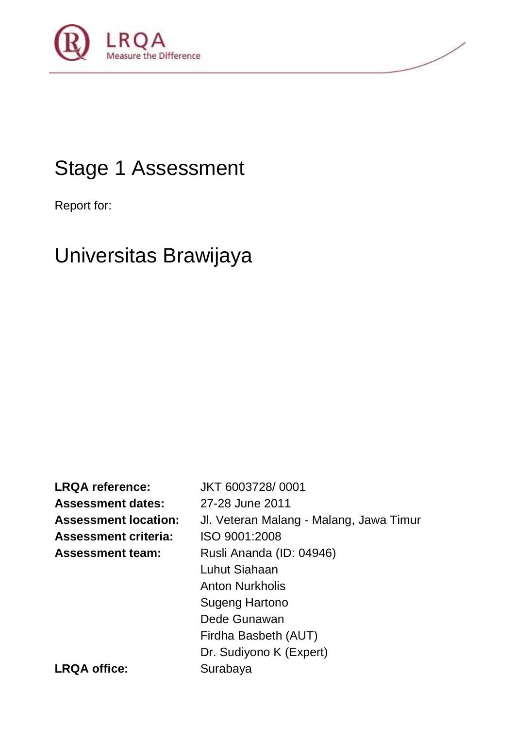

# Stage 1 Assessment

Report for:

# Universitas Brawijaya

**LRQA reference:** JKT 6003728/ 0001 **Assessment dates:** 27-28 June 2011 **Assessment location:** Jl. Veteran Malang - Malang, Jawa Timur **Assessment criteria:** ISO 9001:2008 **Assessment team:** Rusli Ananda (ID: 04946) Luhut Siahaan Anton Nurkholis Sugeng Hartono Dede Gunawan Firdha Basbeth (AUT) Dr. Sudiyono K (Expert) LRQA office: Surabaya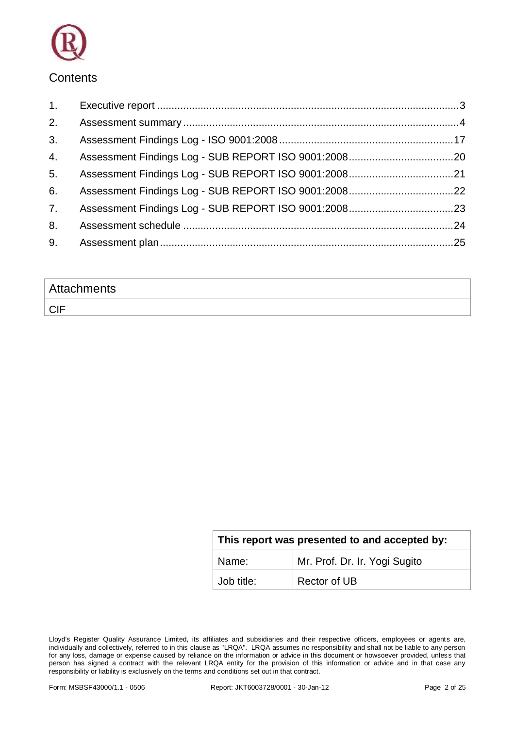

### **Contents**

| 1. |  |
|----|--|
| 2. |  |
| 3. |  |
| 4. |  |
| 5. |  |
| 6. |  |
| 7. |  |
| 8. |  |
| 9. |  |
|    |  |

| <b>Attachments</b> |  |
|--------------------|--|
| <b>CIF</b>         |  |

| This report was presented to and accepted by: |                               |  |  |
|-----------------------------------------------|-------------------------------|--|--|
| Name:                                         | Mr. Prof. Dr. Ir. Yogi Sugito |  |  |
| Job title:                                    | Rector of UB                  |  |  |

Lloyd's Register Quality Assurance Limited, its affiliates and subsidiaries and their respective officers, employees or agents are, individually and collectively, referred to in this clause as "LRQA". LRQA assumes no responsibility and shall not be liable to any person for any loss, damage or expense caused by reliance on the information or advice in this document or howsoever provided, unless that person has signed a contract with the relevant LRQA entity for the provision of this information or advice and in that case any responsibility or liability is exclusively on the terms and conditions set out in that contract.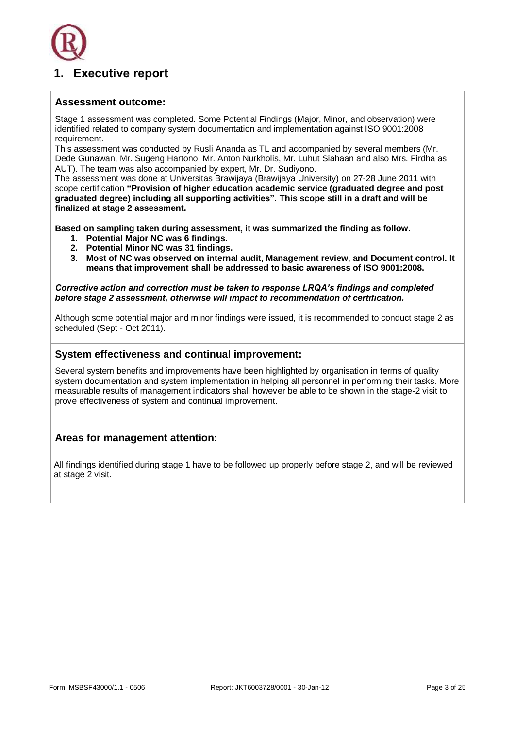

### <span id="page-2-0"></span>**1. Executive report**

### **Assessment outcome:**

Stage 1 assessment was completed. Some Potential Findings (Major, Minor, and observation) were identified related to company system documentation and implementation against ISO 9001:2008 requirement.

This assessment was conducted by Rusli Ananda as TL and accompanied by several members (Mr. Dede Gunawan, Mr. Sugeng Hartono, Mr. Anton Nurkholis, Mr. Luhut Siahaan and also Mrs. Firdha as AUT). The team was also accompanied by expert, Mr. Dr. Sudiyono.

The assessment was done at Universitas Brawijaya (Brawijaya University) on 27-28 June 2011 with scope certification **"Provision of higher education academic service (graduated degree and post graduated degree) including all supporting activities". This scope still in a draft and will be finalized at stage 2 assessment.**

**Based on sampling taken during assessment, it was summarized the finding as follow.**

- **1. Potential Major NC was 6 findings.**
- **2. Potential Minor NC was 31 findings.**
- **3. Most of NC was observed on internal audit, Management review, and Document control. It means that improvement shall be addressed to basic awareness of ISO 9001:2008.**

*Corrective action and correction must be taken to response LRQA's findings and completed before stage 2 assessment, otherwise will impact to recommendation of certification.*

Although some potential major and minor findings were issued, it is recommended to conduct stage 2 as scheduled (Sept - Oct 2011).

### **System effectiveness and continual improvement:**

Several system benefits and improvements have been highlighted by organisation in terms of quality system documentation and system implementation in helping all personnel in performing their tasks. More measurable results of management indicators shall however be able to be shown in the stage-2 visit to prove effectiveness of system and continual improvement.

### **Areas for management attention:**

All findings identified during stage 1 have to be followed up properly before stage 2, and will be reviewed at stage 2 visit.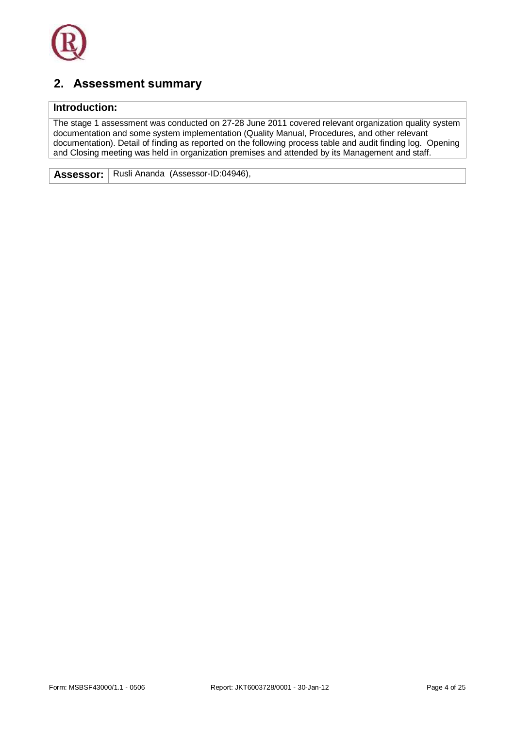

## <span id="page-3-0"></span>**2. Assessment summary**

### **Introduction:**

The stage 1 assessment was conducted on 27-28 June 2011 covered relevant organization quality system documentation and some system implementation (Quality Manual, Procedures, and other relevant documentation). Detail of finding as reported on the following process table and audit finding log. Opening and Closing meeting was held in organization premises and attended by its Management and staff.

**Assessor:** Rusli Ananda (Assessor-ID:04946),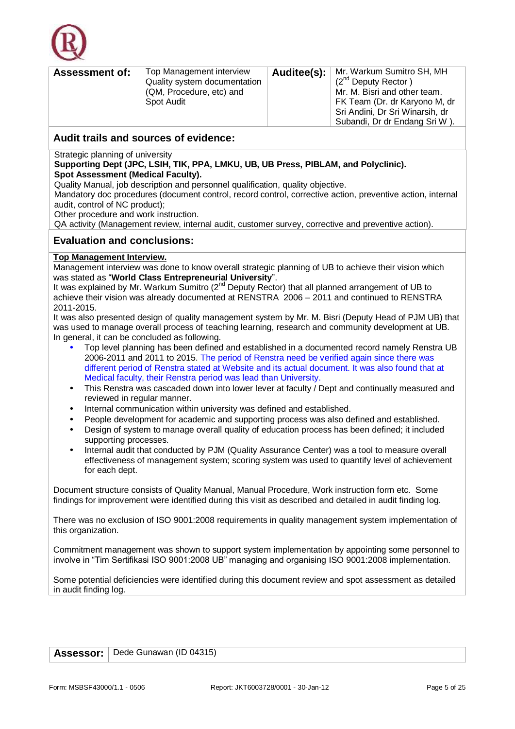

| <b>Assessment of:</b> | Top Management interview     | Auditee(s): | Mr. Warkum Sumitro SH, MH       |
|-----------------------|------------------------------|-------------|---------------------------------|
|                       | Quality system documentation |             | $(2^{nd}$ Deputy Rector)        |
|                       | (QM, Procedure, etc) and     |             | Mr. M. Bisri and other team.    |
|                       | Spot Audit                   |             | FK Team (Dr. dr Karyono M, dr   |
|                       |                              |             | Sri Andini, Dr Sri Winarsih, dr |
|                       |                              |             | Subandi, Dr dr Endang Sri W).   |

Strategic planning of university

### **Supporting Dept (JPC, LSIH, TIK, PPA, LMKU, UB, UB Press, PIBLAM, and Polyclinic). Spot Assessment (Medical Faculty).**

Quality Manual, job description and personnel qualification, quality objective.

Mandatory doc procedures (document control, record control, corrective action, preventive action, internal audit, control of NC product);

Other procedure and work instruction.

QA activity (Management review, internal audit, customer survey, corrective and preventive action).

### **Evaluation and conclusions:**

### **Top Management Interview.**

Management interview was done to know overall strategic planning of UB to achieve their vision which was stated as "**World Class Entrepreneurial University**".

It was explained by Mr. Warkum Sumitro  $(2^{nd}$  Deputy Rector) that all planned arrangement of UB to achieve their vision was already documented at RENSTRA 2006 – 2011 and continued to RENSTRA 2011-2015.

It was also presented design of quality management system by Mr. M. Bisri (Deputy Head of PJM UB) that was used to manage overall process of teaching learning, research and community development at UB. In general, it can be concluded as following.

- Top level planning has been defined and established in a documented record namely Renstra UB 2006-2011 and 2011 to 2015. The period of Renstra need be verified again since there was different period of Renstra stated at Website and its actual document. It was also found that at Medical faculty, their Renstra period was lead than University.
- This Renstra was cascaded down into lower lever at faculty / Dept and continually measured and reviewed in regular manner.
- Internal communication within university was defined and established.
- People development for academic and supporting process was also defined and established.
- Design of system to manage overall quality of education process has been defined; it included supporting processes.
- Internal audit that conducted by PJM (Quality Assurance Center) was a tool to measure overall effectiveness of management system; scoring system was used to quantify level of achievement for each dept.

Document structure consists of Quality Manual, Manual Procedure, Work instruction form etc. Some findings for improvement were identified during this visit as described and detailed in audit finding log.

There was no exclusion of ISO 9001:2008 requirements in quality management system implementation of this organization.

Commitment management was shown to support system implementation by appointing some personnel to involve in "Tim Sertifikasi ISO 9001:2008 UB" managing and organising ISO 9001:2008 implementation.

Some potential deficiencies were identified during this document review and spot assessment as detailed in audit finding log.

| <b>Assessor:</b>   Dede Gunawan (ID 04315) |  |
|--------------------------------------------|--|
|--------------------------------------------|--|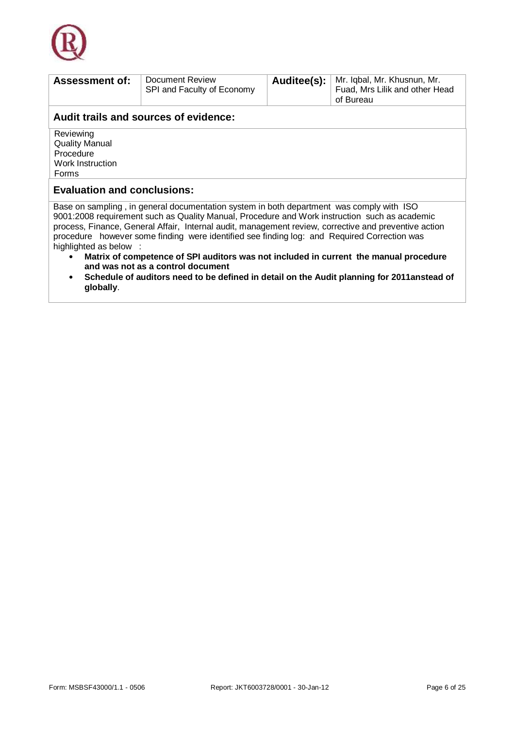

| <b>Assessment of:</b>                                                                                                      | Document Review                                                                                       | Auditee(s): | Mr. Iqbal, Mr. Khusnun, Mr.    |  |
|----------------------------------------------------------------------------------------------------------------------------|-------------------------------------------------------------------------------------------------------|-------------|--------------------------------|--|
|                                                                                                                            | SPI and Faculty of Economy                                                                            |             | Fuad, Mrs Lilik and other Head |  |
|                                                                                                                            |                                                                                                       |             | of Bureau                      |  |
|                                                                                                                            | Audit trails and sources of evidence:                                                                 |             |                                |  |
| Reviewing                                                                                                                  |                                                                                                       |             |                                |  |
| <b>Quality Manual</b>                                                                                                      |                                                                                                       |             |                                |  |
| Procedure                                                                                                                  |                                                                                                       |             |                                |  |
| Work Instruction                                                                                                           |                                                                                                       |             |                                |  |
| Forms                                                                                                                      |                                                                                                       |             |                                |  |
| <b>Evaluation and conclusions:</b>                                                                                         |                                                                                                       |             |                                |  |
|                                                                                                                            | Base on sampling, in general documentation system in both department was comply with ISO              |             |                                |  |
| 9001:2008 requirement such as Quality Manual, Procedure and Work instruction such as academic                              |                                                                                                       |             |                                |  |
|                                                                                                                            | process, Finance, General Affair, Internal audit, management review, corrective and preventive action |             |                                |  |
| procedure however some finding were identified see finding log: and Required Correction was                                |                                                                                                       |             |                                |  |
| highlighted as below :                                                                                                     |                                                                                                       |             |                                |  |
| Matrix of competence of SPI auditors was not included in current the manual procedure<br>and was not as a control document |                                                                                                       |             |                                |  |
| Schedule of auditors need to be defined in detail on the Audit planning for 2011anstead of<br>globally.                    |                                                                                                       |             |                                |  |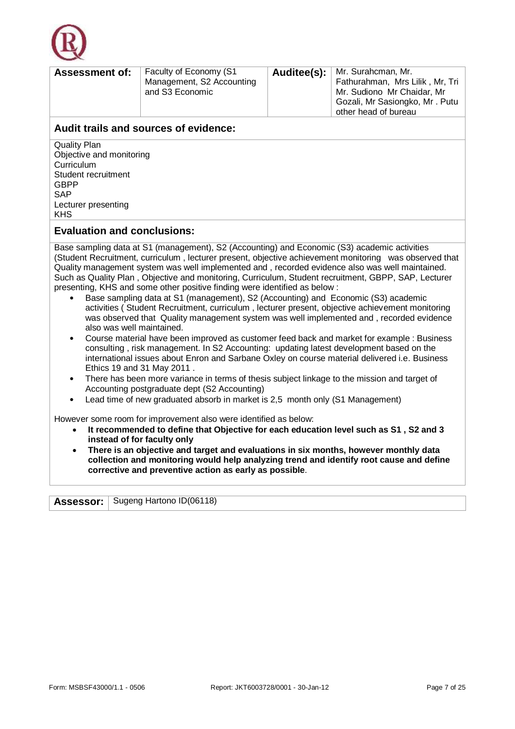

| <b>Assessment of:</b> | Faculty of Economy (S1<br>Management, S2 Accounting<br>and S3 Economic |  | Auditee(s):   Mr. Surahcman, Mr.<br>Fathurahman, Mrs Lilik, Mr, Tri<br>Mr. Sudiono Mr Chaidar, Mr<br>Gozali, Mr Sasiongko, Mr. Putu<br>other head of bureau |
|-----------------------|------------------------------------------------------------------------|--|-------------------------------------------------------------------------------------------------------------------------------------------------------------|
|-----------------------|------------------------------------------------------------------------|--|-------------------------------------------------------------------------------------------------------------------------------------------------------------|

Quality Plan Objective and monitoring Curriculum Student recruitment GBPP SAP Lecturer presenting KHS

### **Evaluation and conclusions:**

Base sampling data at S1 (management), S2 (Accounting) and Economic (S3) academic activities (Student Recruitment, curriculum , lecturer present, objective achievement monitoring was observed that Quality management system was well implemented and , recorded evidence also was well maintained. Such as Quality Plan , Objective and monitoring, Curriculum, Student recruitment, GBPP, SAP, Lecturer presenting, KHS and some other positive finding were identified as below :

- Base sampling data at S1 (management), S2 (Accounting) and Economic (S3) academic activities ( Student Recruitment, curriculum , lecturer present, objective achievement monitoring was observed that Quality management system was well implemented and , recorded evidence also was well maintained.
- Course material have been improved as customer feed back and market for example : Business consulting , risk management. In S2 Accounting: updating latest development based on the international issues about Enron and Sarbane Oxley on course material delivered i.e. Business Ethics 19 and 31 May 2011 .
- There has been more variance in terms of thesis subject linkage to the mission and target of Accounting postgraduate dept (S2 Accounting)
- Lead time of new graduated absorb in market is 2,5 month only (S1 Management)

However some room for improvement also were identified as below:

- **It recommended to define that Objective for each education level such as S1 , S2 and 3 instead of for faculty only**
- **There is an objective and target and evaluations in six months, however monthly data collection and monitoring would help analyzing trend and identify root cause and define corrective and preventive action as early as possible**.

|  | <b>Assessor:</b>   Sugeng Hartono ID(06118) |
|--|---------------------------------------------|
|--|---------------------------------------------|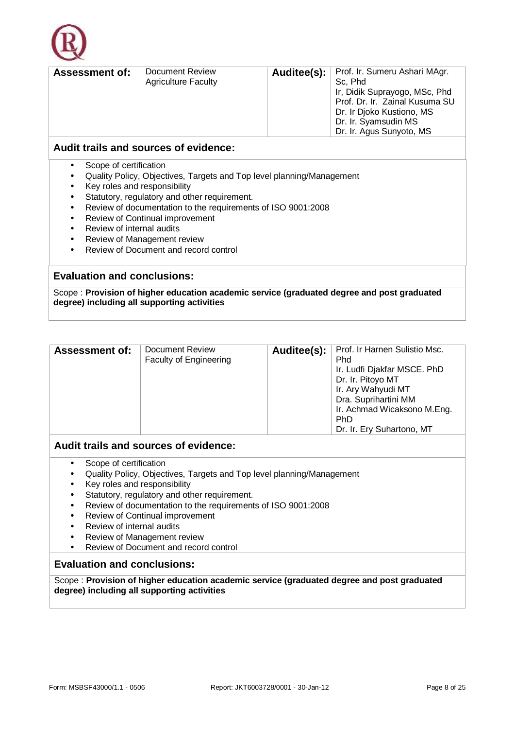

| Auditee(s):   Prof. Ir. Sumeru Ashari MAgr.<br>Document Review<br><b>Assessment of:</b><br>Sc, Phd<br><b>Agriculture Faculty</b><br>Ir, Didik Suprayogo, MSc, Phd<br>Prof. Dr. Ir. Zainal Kusuma SU<br>Dr. Ir Djoko Kustiono, MS |
|----------------------------------------------------------------------------------------------------------------------------------------------------------------------------------------------------------------------------------|
|----------------------------------------------------------------------------------------------------------------------------------------------------------------------------------------------------------------------------------|

- Scope of certification
- Quality Policy, Objectives, Targets and Top level planning/Management
- Key roles and responsibility
- Statutory, regulatory and other requirement.
- Review of documentation to the requirements of ISO 9001:2008
- Review of Continual improvement
- Review of internal audits
- Review of Management review
- Review of Document and record control

### **Evaluation and conclusions:**

Scope : **Provision of higher education academic service (graduated degree and post graduated degree) including all supporting activities**

| <b>Assessment of:</b> | <b>Document Review</b><br><b>Faculty of Engineering</b> |  | Auditee(s):   Prof. Ir Harnen Sulistio Msc.<br>Phd<br>Ir. Ludfi Djakfar MSCE. PhD<br>Dr. Ir. Pitoyo MT<br>Ir. Ary Wahyudi MT<br>Dra. Suprihartini MM<br>Ir. Achmad Wicaksono M.Eng.<br><b>PhD</b><br>Dr. Ir. Ery Suhartono, MT |
|-----------------------|---------------------------------------------------------|--|--------------------------------------------------------------------------------------------------------------------------------------------------------------------------------------------------------------------------------|
|-----------------------|---------------------------------------------------------|--|--------------------------------------------------------------------------------------------------------------------------------------------------------------------------------------------------------------------------------|

### **Audit trails and sources of evidence:**

- Scope of certification
- Quality Policy, Objectives, Targets and Top level planning/Management
- Key roles and responsibility
- Statutory, regulatory and other requirement.
- Review of documentation to the requirements of ISO 9001:2008
- Review of Continual improvement
- Review of internal audits
- Review of Management review
- Review of Document and record control

### **Evaluation and conclusions:**

Scope : **Provision of higher education academic service (graduated degree and post graduated degree) including all supporting activities**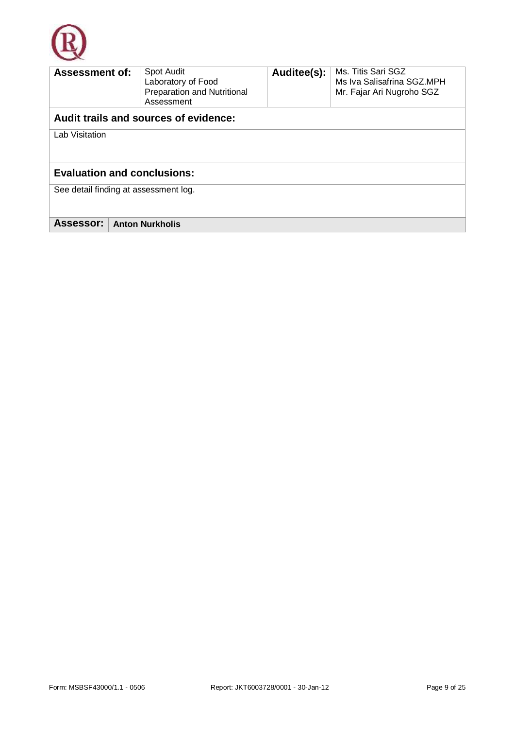

| <b>Assessment of:</b>                 |  | Spot Audit<br>Laboratory of Food<br>Preparation and Nutritional<br>Assessment | Auditee(s): | Ms. Titis Sari SGZ<br>Ms Iva Salisafrina SGZ.MPH<br>Mr. Fajar Ari Nugroho SGZ |
|---------------------------------------|--|-------------------------------------------------------------------------------|-------------|-------------------------------------------------------------------------------|
|                                       |  | Audit trails and sources of evidence:                                         |             |                                                                               |
| Lab Visitation                        |  |                                                                               |             |                                                                               |
| <b>Evaluation and conclusions:</b>    |  |                                                                               |             |                                                                               |
| See detail finding at assessment log. |  |                                                                               |             |                                                                               |
| Assessor:                             |  | <b>Anton Nurkholis</b>                                                        |             |                                                                               |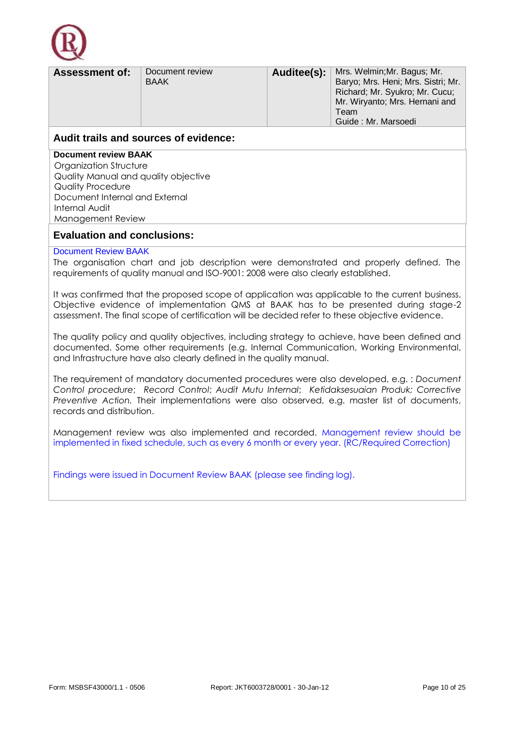

| <b>Assessment of:</b> | Document review<br><b>BAAK</b> | Auditee(s): | Mrs. Welmin; Mr. Bagus; Mr.<br>Baryo; Mrs. Heni; Mrs. Sistri; Mr.<br>Richard; Mr. Syukro; Mr. Cucu;<br>Mr. Wiryanto; Mrs. Hernani and<br>Team<br>Guide: Mr. Marsoedi |
|-----------------------|--------------------------------|-------------|----------------------------------------------------------------------------------------------------------------------------------------------------------------------|
| .                     |                                |             |                                                                                                                                                                      |

**Document review BAAK**

Organization Structure Quality Manual and quality objective Quality Procedure Document Internal and External Internal Audit Management Review

### **Evaluation and conclusions:**

### Document Review BAAK

The organisation chart and job description were demonstrated and properly defined. The requirements of quality manual and ISO-9001: 2008 were also clearly established.

It was confirmed that the proposed scope of application was applicable to the current business. Objective evidence of implementation QMS at BAAK has to be presented during stage-2 assessment. The final scope of certification will be decided refer to these objective evidence.

The quality policy and quality objectives, including strategy to achieve, have been defined and documented. Some other requirements (e.g. Internal Communication, Working Environmental, and Infrastructure have also clearly defined in the quality manual.

The requirement of mandatory documented procedures were also developed, e.g. : *Document Control procedure*; *Record Control*; *Audit Mutu Internal*; *Ketidaksesuaian Produk; Corrective Preventive Action.* Their implementations were also observed, e.g. master list of documents, records and distribution.

Management review was also implemented and recorded. Management review should be implemented in fixed schedule, such as every 6 month or every year. (RC/Required Correction)

Findings were issued in Document Review BAAK (please see finding log).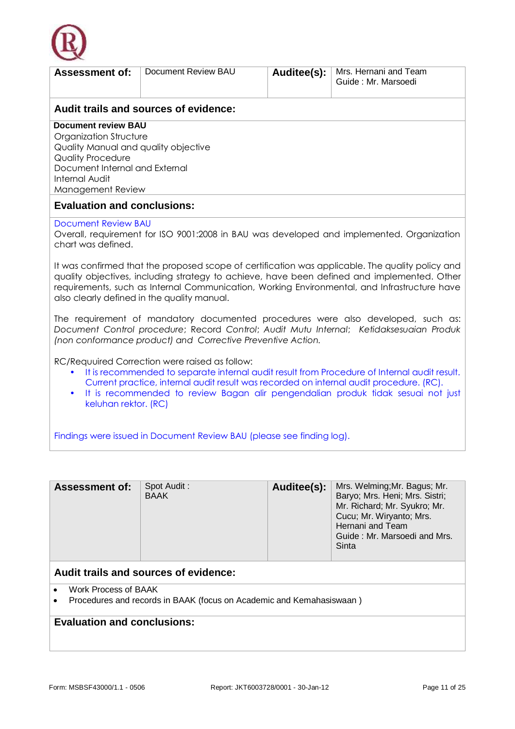

| <b>Assessment of:</b>                                                                                                                                                                                                                                                                                                                                           | Document Review BAU                                         | Auditee(s): | Mrs. Hernani and Team<br>Guide: Mr. Marsoedi                                                                                                                                                                                                                                                    |  |  |  |  |  |
|-----------------------------------------------------------------------------------------------------------------------------------------------------------------------------------------------------------------------------------------------------------------------------------------------------------------------------------------------------------------|-------------------------------------------------------------|-------------|-------------------------------------------------------------------------------------------------------------------------------------------------------------------------------------------------------------------------------------------------------------------------------------------------|--|--|--|--|--|
| Audit trails and sources of evidence:                                                                                                                                                                                                                                                                                                                           |                                                             |             |                                                                                                                                                                                                                                                                                                 |  |  |  |  |  |
| <b>Document review BAU</b><br>Organization Structure<br>Quality Manual and quality objective<br><b>Quality Procedure</b><br>Document Internal and External<br><b>Internal Audit</b><br>Management Review                                                                                                                                                        |                                                             |             |                                                                                                                                                                                                                                                                                                 |  |  |  |  |  |
| <b>Evaluation and conclusions:</b>                                                                                                                                                                                                                                                                                                                              |                                                             |             |                                                                                                                                                                                                                                                                                                 |  |  |  |  |  |
| <b>Document Review BAU</b><br>chart was defined.                                                                                                                                                                                                                                                                                                                |                                                             |             | Overall, requirement for ISO 9001:2008 in BAU was developed and implemented. Organization                                                                                                                                                                                                       |  |  |  |  |  |
|                                                                                                                                                                                                                                                                                                                                                                 | also clearly defined in the quality manual.                 |             | It was confirmed that the proposed scope of certification was applicable. The quality policy and<br>quality objectives, including strategy to achieve, have been defined and implemented. Other<br>requirements, such as Internal Communication, Working Environmental, and Infrastructure have |  |  |  |  |  |
|                                                                                                                                                                                                                                                                                                                                                                 | (non conformance product) and Corrective Preventive Action. |             | The requirement of mandatory documented procedures were also developed, such as:<br>Document Control procedure; Record Control; Audit Mutu Internal; Ketidaksesuaian Produk                                                                                                                     |  |  |  |  |  |
| RC/Requuired Correction were raised as follow:<br>It is recommended to separate internal audit result from Procedure of Internal audit result.<br>٠<br>Current practice, internal audit result was recorded on internal audit procedure. (RC).<br>It is recommended to review Bagan alir pengendalian produk tidak sesuai not just<br>٠<br>keluhan rektor. (RC) |                                                             |             |                                                                                                                                                                                                                                                                                                 |  |  |  |  |  |
| Findings were issued in Document Review BAU (please see finding log).                                                                                                                                                                                                                                                                                           |                                                             |             |                                                                                                                                                                                                                                                                                                 |  |  |  |  |  |
|                                                                                                                                                                                                                                                                                                                                                                 |                                                             |             |                                                                                                                                                                                                                                                                                                 |  |  |  |  |  |
| <b>Assessment of:</b>                                                                                                                                                                                                                                                                                                                                           | Spot Audit:<br><b>BAAK</b>                                  | Auditee(s): | Mrs. Welming; Mr. Bagus; Mr.<br>Baryo; Mrs. Heni; Mrs. Sistri;<br>Mr. Richard; Mr. Syukro; Mr.<br>Cucu; Mr. Wiryanto; Mrs.                                                                                                                                                                      |  |  |  |  |  |

- Work Process of BAAK
- Procedures and records in BAAK (focus on Academic and Kemahasiswaan )

## **Evaluation and conclusions:**

Hernani and Team

Sinta

Guide : Mr. Marsoedi and Mrs.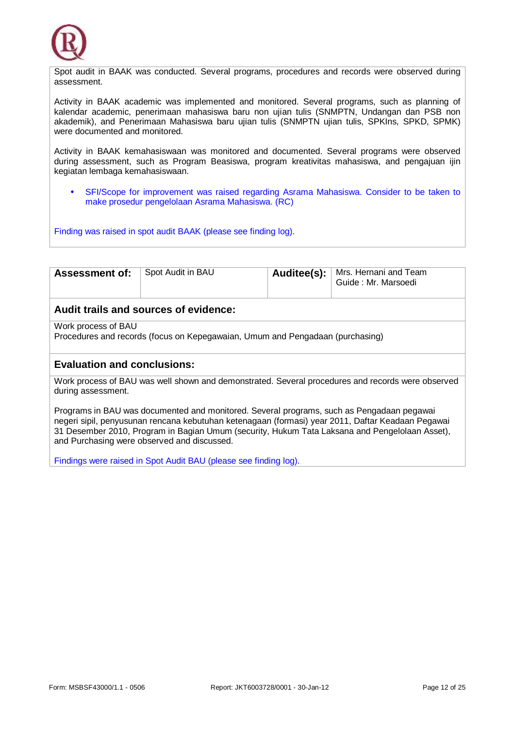

Spot audit in BAAK was conducted. Several programs, procedures and records were observed during assessment.

Activity in BAAK academic was implemented and monitored. Several programs, such as planning of kalendar academic, penerimaan mahasiswa baru non ujian tulis (SNMPTN, Undangan dan PSB non akademik), and Penerimaan Mahasiswa baru ujian tulis (SNMPTN ujian tulis, SPKIns, SPKD, SPMK) were documented and monitored.

Activity in BAAK kemahasiswaan was monitored and documented. Several programs were observed during assessment, such as Program Beasiswa, program kreativitas mahasiswa, and pengajuan ijin kegiatan lembaga kemahasiswaan.

• SFI/Scope for improvement was raised regarding Asrama Mahasiswa. Consider to be taken to make prosedur pengelolaan Asrama Mahasiswa. (RC)

Finding was raised in spot audit BAAK (please see finding log).

| <b>Assessment of:</b>                                                                                                                                                                                                                                                                                                                           | Spot Audit in BAU                                                             | Auditee(s): | Mrs. Hernani and Team<br>Guide: Mr. Marsoedi |  |  |  |  |  |
|-------------------------------------------------------------------------------------------------------------------------------------------------------------------------------------------------------------------------------------------------------------------------------------------------------------------------------------------------|-------------------------------------------------------------------------------|-------------|----------------------------------------------|--|--|--|--|--|
| Audit trails and sources of evidence:                                                                                                                                                                                                                                                                                                           |                                                                               |             |                                              |  |  |  |  |  |
| Work process of BAU                                                                                                                                                                                                                                                                                                                             |                                                                               |             |                                              |  |  |  |  |  |
|                                                                                                                                                                                                                                                                                                                                                 | Procedures and records (focus on Kepegawaian, Umum and Pengadaan (purchasing) |             |                                              |  |  |  |  |  |
| <b>Evaluation and conclusions:</b>                                                                                                                                                                                                                                                                                                              |                                                                               |             |                                              |  |  |  |  |  |
| Work process of BAU was well shown and demonstrated. Several procedures and records were observed<br>during assessment.                                                                                                                                                                                                                         |                                                                               |             |                                              |  |  |  |  |  |
| Programs in BAU was documented and monitored. Several programs, such as Pengadaan pegawai<br>negeri sipil, penyusunan rencana kebutuhan ketenagaan (formasi) year 2011, Daftar Keadaan Pegawai<br>31 Desember 2010, Program in Bagian Umum (security, Hukum Tata Laksana and Pengelolaan Asset),<br>and Purchasing were observed and discussed. |                                                                               |             |                                              |  |  |  |  |  |

Findings were raised in Spot Audit BAU (please see finding log).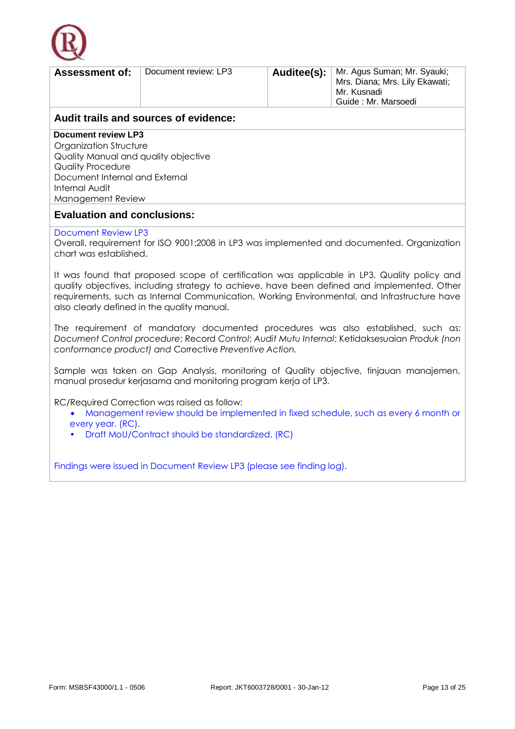

| <b>Assessment of:</b>                 | Document review: LP3 |  | Auditee(s):   Mr. Agus Suman; Mr. Syauki;<br>Mrs. Diana; Mrs. Lily Ekawati;<br>Mr. Kusnadi<br>Guide: Mr. Marsoedi |  |  |  |  |
|---------------------------------------|----------------------|--|-------------------------------------------------------------------------------------------------------------------|--|--|--|--|
| Audit trails and seuress of suidenseu |                      |  |                                                                                                                   |  |  |  |  |

**Document review LP3**

Organization Structure Quality Manual and quality objective Quality Procedure Document Internal and External Internal Audit Management Review

### **Evaluation and conclusions:**

### Document Review LP3

Overall, requirement for ISO 9001:2008 in LP3 was implemented and documented. Organization chart was established.

It was found that proposed scope of certification was applicable in LP3. Quality policy and quality objectives, including strategy to achieve, have been defined and implemented. Other requirements, such as Internal Communication, Working Environmental, and Infrastructure have also clearly defined in the quality manual.

The requirement of mandatory documented procedures was also established, such as: *Document Control procedure*; Record *Control*; *Audit Mutu Internal*; Ketidaksesuaian *Produk (non conformance product) and* Corrective *Preventive Action.*

Sample was taken on Gap Analysis, monitoring of Quality objective, tinjauan manajemen, manual prosedur kerjasama and monitoring program kerja of LP3.

RC/Required Correction was raised as follow:

- Management review should be implemented in fixed schedule, such as every 6 month or every year. (RC).
- Draft MoU/Contract should be standardized. (RC)

Findings were issued in Document Review LP3 (please see finding log).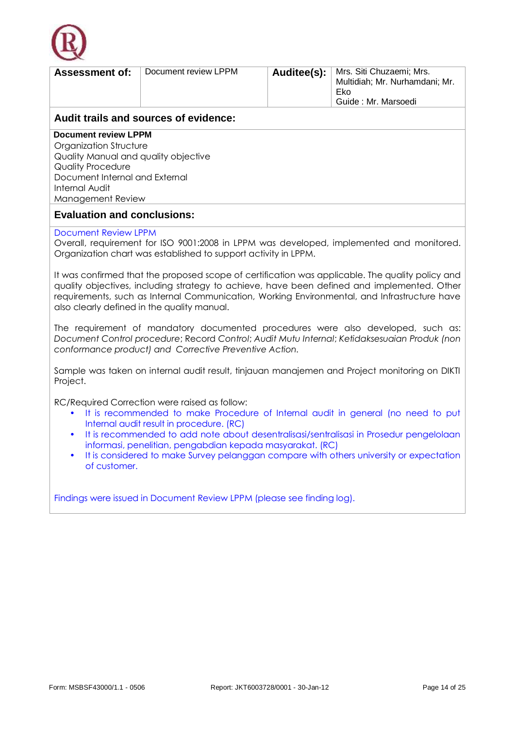

| <b>Assessment of:</b>                                                                                                                                                                                                                                                                                                       | Document review LPPM |  | <b>Auditee(s):</b>   Mrs. Siti Chuzaemi; Mrs.<br>Multidiah; Mr. Nurhamdani; Mr.<br>Eko<br>Guide: Mr. Marsoedi |  |  |  |  |  |
|-----------------------------------------------------------------------------------------------------------------------------------------------------------------------------------------------------------------------------------------------------------------------------------------------------------------------------|----------------------|--|---------------------------------------------------------------------------------------------------------------|--|--|--|--|--|
| Audit trails and sources of evidence:                                                                                                                                                                                                                                                                                       |                      |  |                                                                                                               |  |  |  |  |  |
| <b>Document review LPPM</b>                                                                                                                                                                                                                                                                                                 |                      |  |                                                                                                               |  |  |  |  |  |
| $Q_{\text{max}} = -1$ $\frac{1}{2}$ $\frac{1}{2}$ $\frac{1}{2}$ $\frac{1}{2}$ $\frac{1}{2}$ $\frac{1}{2}$ $\frac{1}{2}$ $\frac{1}{2}$ $\frac{1}{2}$ $\frac{1}{2}$ $\frac{1}{2}$ $\frac{1}{2}$ $\frac{1}{2}$ $\frac{1}{2}$ $\frac{1}{2}$ $\frac{1}{2}$ $\frac{1}{2}$ $\frac{1}{2}$ $\frac{1}{2}$ $\frac{1}{2}$ $\frac{1}{2}$ |                      |  |                                                                                                               |  |  |  |  |  |

Organization Structure Quality Manual and quality objective Quality Procedure Document Internal and External Internal Audit Management Review

### **Evaluation and conclusions:**

### Document Review LPPM

Overall, requirement for ISO 9001:2008 in LPPM was developed, implemented and monitored. Organization chart was established to support activity in LPPM.

It was confirmed that the proposed scope of certification was applicable. The quality policy and quality objectives, including strategy to achieve, have been defined and implemented. Other requirements, such as Internal Communication, Working Environmental, and Infrastructure have also clearly defined in the quality manual.

The requirement of mandatory documented procedures were also developed, such as: *Document Control procedure*; Record *Control*; *Audit Mutu Internal*; *Ketidaksesuaian Produk (non conformance product) and Corrective Preventive Action.*

Sample was taken on internal audit result, tinjauan manajemen and Project monitoring on DIKTI Project.

RC/Required Correction were raised as follow:

- It is recommended to make Procedure of Internal audit in general (no need to put Internal audit result in procedure. (RC)
- It is recommended to add note about desentralisasi/sentralisasi in Prosedur pengelolaan informasi, penelitian, pengabdian kepada masyarakat. (RC)
- It is considered to make Survey pelanggan compare with others university or expectation of customer.

Findings were issued in Document Review LPPM (please see finding log).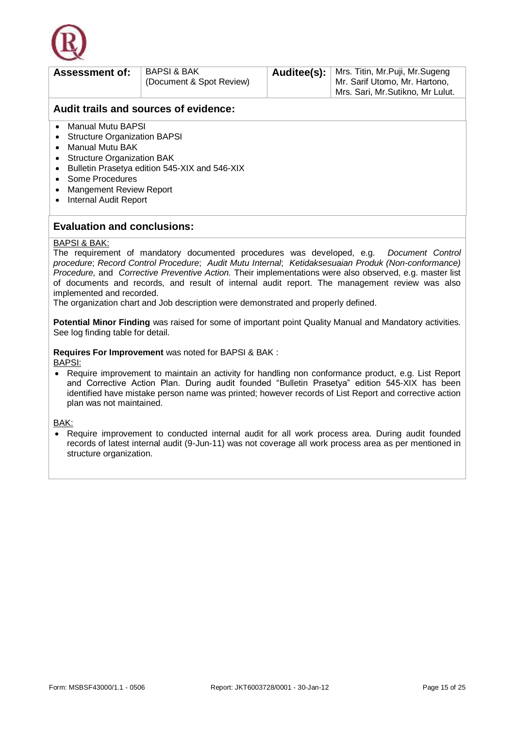

| <b>Assessment of:</b>                               | <b>BAPSI &amp; BAK</b><br>(Document & Spot Review) |  | <b>Auditee(s):</b>   Mrs. Titin, Mr. Puji, Mr. Sugeng<br>Mr. Sarif Utomo, Mr. Hartono,<br>Mrs. Sari, Mr. Sutikno, Mr Lulut. |  |  |  |  |  |
|-----------------------------------------------------|----------------------------------------------------|--|-----------------------------------------------------------------------------------------------------------------------------|--|--|--|--|--|
|                                                     | Audit trails and sources of evidence:              |  |                                                                                                                             |  |  |  |  |  |
| Manual Mutu BAPSI<br>• Structure Organization BAPSI |                                                    |  |                                                                                                                             |  |  |  |  |  |

- Manual Mutu BAK
- Structure Organization BAK
- Bulletin Prasetya edition 545-XIX and 546-XIX
- Some Procedures
- Mangement Review Report
- Internal Audit Report

### **Evaluation and conclusions:**

#### BAPSI & BAK:

The requirement of mandatory documented procedures was developed, e.g. *Document Control procedure*; *Record Control Procedure*; *Audit Mutu Internal*; *Ketidaksesuaian Produk (Non-conformance) Procedure,* and *Corrective Preventive Action.* Their implementations were also observed, e.g. master list of documents and records, and result of internal audit report. The management review was also implemented and recorded.

The organization chart and Job description were demonstrated and properly defined.

**Potential Minor Finding** was raised for some of important point Quality Manual and Mandatory activities. See log finding table for detail.

**Requires For Improvement** was noted for BAPSI & BAK :

BAPSI:

• Require improvement to maintain an activity for handling non conformance product, e.g. List Report and Corrective Action Plan. During audit founded "Bulletin Prasetya" edition 545-XIX has been identified have mistake person name was printed; however records of List Report and corrective action plan was not maintained.

BAK:

• Require improvement to conducted internal audit for all work process area. During audit founded records of latest internal audit (9-Jun-11) was not coverage all work process area as per mentioned in structure organization.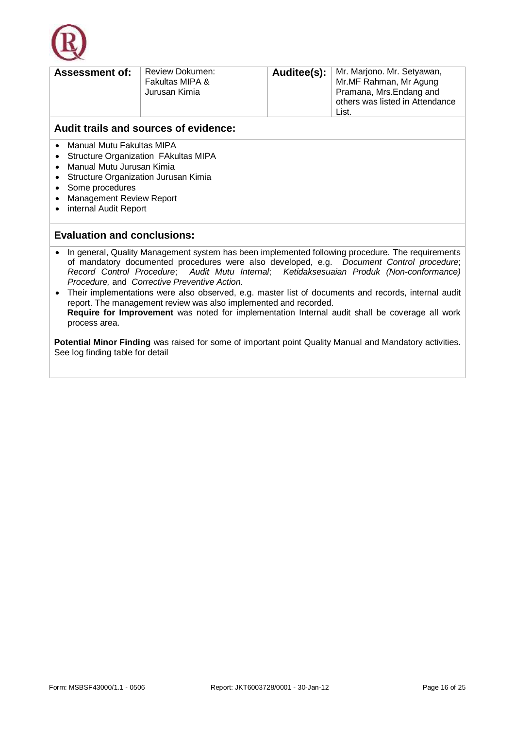

| <b>Assessment of:</b> | <b>Review Dokumen:</b><br>Fakultas MIPA &<br>Jurusan Kimia |  | <b>Auditee(s):</b>   Mr. Marjono. Mr. Setyawan,<br>Mr.MF Rahman, Mr Agung<br>Pramana, Mrs. Endang and<br>others was listed in Attendance<br>List |
|-----------------------|------------------------------------------------------------|--|--------------------------------------------------------------------------------------------------------------------------------------------------|
|-----------------------|------------------------------------------------------------|--|--------------------------------------------------------------------------------------------------------------------------------------------------|

- Manual Mutu Fakultas MIPA
- Structure Organization FAkultas MIPA
- Manual Mutu Jurusan Kimia
- Structure Organization Jurusan Kimia
- Some procedures
- Management Review Report
- internal Audit Report

### **Evaluation and conclusions:**

- In general, Quality Management system has been implemented following procedure. The requirements of mandatory documented procedures were also developed, e.g. *Document Control procedure*; *Record Control Procedure*; *Audit Mutu Internal*; *Ketidaksesuaian Produk (Non-conformance) Procedure,* and *Corrective Preventive Action.*
- Their implementations were also observed, e.g. master list of documents and records, internal audit report. The management review was also implemented and recorded. **Require for Improvement** was noted for implementation Internal audit shall be coverage all work process area.

**Potential Minor Finding** was raised for some of important point Quality Manual and Mandatory activities. See log finding table for detail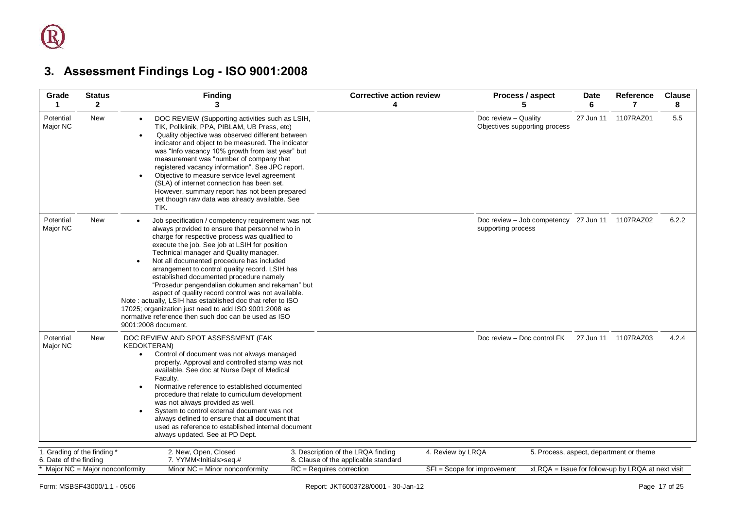# **3. Assessment Findings Log - ISO 9001:2008**

<span id="page-16-0"></span>

| Grade<br>1                                                 | <b>Status</b><br>$\mathbf{2}$ | <b>Finding</b><br>3                                                                                                                                                                                                                                                                                                                                                                                                                                                                                                                                                                                                                                                                                                        | <b>Corrective action review</b><br>4                               | Process / aspect<br>5                                                 | <b>Date</b><br>6 | Reference<br>7                                    | <b>Clause</b><br>8 |
|------------------------------------------------------------|-------------------------------|----------------------------------------------------------------------------------------------------------------------------------------------------------------------------------------------------------------------------------------------------------------------------------------------------------------------------------------------------------------------------------------------------------------------------------------------------------------------------------------------------------------------------------------------------------------------------------------------------------------------------------------------------------------------------------------------------------------------------|--------------------------------------------------------------------|-----------------------------------------------------------------------|------------------|---------------------------------------------------|--------------------|
| Potential<br>Major NC                                      | <b>New</b>                    | DOC REVIEW (Supporting activities such as LSIH,<br>TIK, Poliklinik, PPA, PIBLAM, UB Press, etc)<br>Quality objective was observed different between<br>indicator and object to be measured. The indicator<br>was "Info vacancy 10% growth from last year" but<br>measurement was "number of company that<br>registered vacancy information". See JPC report.<br>Objective to measure service level agreement<br>(SLA) of internet connection has been set.<br>However, summary report has not been prepared<br>yet though raw data was already available. See<br>TIK.                                                                                                                                                      |                                                                    | Doc review - Quality<br>Objectives supporting process                 | 27 Jun 11        | 1107RAZ01                                         | 5.5                |
| Potential<br>Major NC                                      | <b>New</b>                    | Job specification / competency requirement was not<br>always provided to ensure that personnel who in<br>charge for respective process was qualified to<br>execute the job. See job at LSIH for position<br>Technical manager and Quality manager.<br>Not all documented procedure has included<br>$\bullet$<br>arrangement to control quality record. LSIH has<br>established documented procedure namely<br>"Prosedur pengendalian dokumen and rekaman" but<br>aspect of quality record control was not available.<br>Note: actually, LSIH has established doc that refer to ISO<br>17025; organization just need to add ISO 9001:2008 as<br>normative reference then such doc can be used as ISO<br>9001:2008 document. |                                                                    | Doc review - Job competency 27 Jun 11 1107RAZ02<br>supporting process |                  |                                                   | 6.2.2              |
| Potential<br>Major NC                                      | New                           | DOC REVIEW AND SPOT ASSESSMENT (FAK<br><b>KEDOKTERAN)</b><br>Control of document was not always managed<br>$\bullet$<br>properly. Approval and controlled stamp was not<br>available. See doc at Nurse Dept of Medical<br>Faculty.<br>Normative reference to established documented<br>procedure that relate to curriculum development<br>was not always provided as well.<br>System to control external document was not<br>always defined to ensure that all document that<br>used as reference to established internal document<br>always updated. See at PD Dept.                                                                                                                                                      |                                                                    | Doc review - Doc control FK                                           | 27 Jun 11        | 1107RAZ03                                         | 4.2.4              |
| 1. Grading of the finding *                                |                               | 2. New, Open, Closed                                                                                                                                                                                                                                                                                                                                                                                                                                                                                                                                                                                                                                                                                                       | 3. Description of the LRQA finding                                 | 4. Review by LRQA                                                     |                  | 5. Process, aspect, department or theme           |                    |
| 6. Date of the finding<br>* Major NC = Major nonconformity |                               | 7. YYMM <lnitials>seq.#<br/>Minor <math>NC =</math> Minor nonconformity</lnitials>                                                                                                                                                                                                                                                                                                                                                                                                                                                                                                                                                                                                                                         | 8. Clause of the applicable standard<br>$RC = Requires correction$ | SFI = Scope for improvement                                           |                  | xLRQA = Issue for follow-up by LRQA at next visit |                    |
|                                                            |                               |                                                                                                                                                                                                                                                                                                                                                                                                                                                                                                                                                                                                                                                                                                                            |                                                                    |                                                                       |                  |                                                   |                    |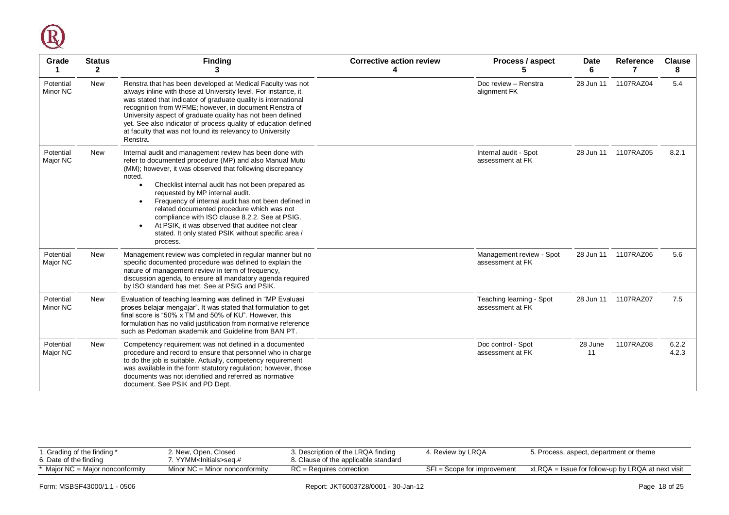

| Grade                 | <b>Status</b><br>$\mathbf{2}$ | <b>Finding</b><br>3                                                                                                                                                                                                                                                                                                                                                                                                                                                                                                                                            | <b>Corrective action review</b><br>Δ | Process / aspect<br>5                        | <b>Date</b><br>6 | <b>Reference</b>     | <b>Clause</b><br>8 |
|-----------------------|-------------------------------|----------------------------------------------------------------------------------------------------------------------------------------------------------------------------------------------------------------------------------------------------------------------------------------------------------------------------------------------------------------------------------------------------------------------------------------------------------------------------------------------------------------------------------------------------------------|--------------------------------------|----------------------------------------------|------------------|----------------------|--------------------|
| Potential<br>Minor NC | <b>New</b>                    | Renstra that has been developed at Medical Faculty was not<br>always inline with those at University level. For instance, it<br>was stated that indicator of graduate quality is international<br>recognition from WFME; however, in document Renstra of<br>University aspect of graduate quality has not been defined<br>yet. See also indicator of process quality of education defined<br>at faculty that was not found its relevancy to University<br>Renstra.                                                                                             |                                      | Doc review - Renstra<br>alignment FK         | 28 Jun 11        | 1107RAZ04            | 5.4                |
| Potential<br>Major NC | <b>New</b>                    | Internal audit and management review has been done with<br>refer to documented procedure (MP) and also Manual Mutu<br>(MM); however, it was observed that following discrepancy<br>noted.<br>Checklist internal audit has not been prepared as<br>requested by MP internal audit.<br>Frequency of internal audit has not been defined in<br>related documented procedure which was not<br>compliance with ISO clause 8.2.2. See at PSIG.<br>At PSIK, it was observed that auditee not clear<br>stated. It only stated PSIK without specific area /<br>process. |                                      | Internal audit - Spot<br>assessment at FK    |                  | 28 Jun 11  1107RAZ05 | 8.2.1              |
| Potential<br>Major NC | New                           | Management review was completed in regular manner but no<br>specific documented procedure was defined to explain the<br>nature of management review in term of frequency,<br>discussion agenda, to ensure all mandatory agenda required<br>by ISO standard has met. See at PSIG and PSIK.                                                                                                                                                                                                                                                                      |                                      | Management review - Spot<br>assessment at FK |                  | 28 Jun 11 1107RAZ06  | 5.6                |
| Potential<br>Minor NC | New                           | Evaluation of teaching learning was defined in "MP Evaluasi<br>proses belajar mengajar". It was stated that formulation to get<br>final score is "50% x TM and 50% of KU". However, this<br>formulation has no valid justification from normative reference<br>such as Pedoman akademik and Guideline from BAN PT.                                                                                                                                                                                                                                             |                                      | Teaching learning - Spot<br>assessment at FK |                  | 28 Jun 11  1107RAZ07 | 7.5                |
| Potential<br>Major NC | <b>New</b>                    | Competency requirement was not defined in a documented<br>procedure and record to ensure that personnel who in charge<br>to do the job is suitable. Actually, competency requirement<br>was available in the form statutory regulation; however, those<br>documents was not identified and referred as normative<br>document. See PSIK and PD Dept.                                                                                                                                                                                                            |                                      | Doc control - Spot<br>assessment at FK       | 28 June<br>11    | 1107RAZ08            | 6.2.2<br>4.2.3     |

| Grading of the finding *<br>6. Date of the finding | 2. New, Open, Closed<br>7. YYMM <initials>seq.#_</initials> | 3. Description of the LRQA finding<br>8. Clause of the applicable standard | 4. Review by LRQA           | 5. Process, aspect, department or theme           |
|----------------------------------------------------|-------------------------------------------------------------|----------------------------------------------------------------------------|-----------------------------|---------------------------------------------------|
| * Major NC = Major nonconformity                   | Minor $NC =$ Minor nonconformity                            | $RC = Requires correction$                                                 | SFI = Scope for improvement | xLRQA = Issue for follow-up by LRQA at next visit |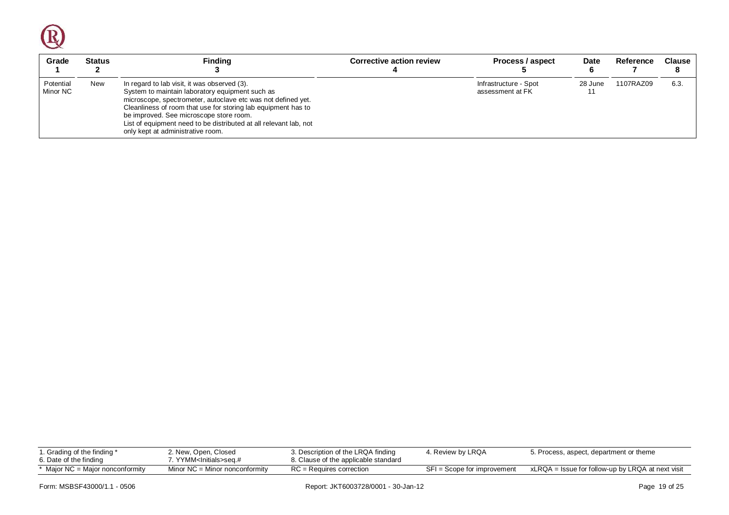$\bigcirc$ 

| Grade                 | <b>Status</b> | <b>Finding</b>                                                                                                                                                                                                                                                                                                                                                                        | <b>Corrective action review</b> | Process / aspect                          | <b>Date</b> | Reference | <b>Clause</b> |
|-----------------------|---------------|---------------------------------------------------------------------------------------------------------------------------------------------------------------------------------------------------------------------------------------------------------------------------------------------------------------------------------------------------------------------------------------|---------------------------------|-------------------------------------------|-------------|-----------|---------------|
| Potential<br>Minor NC | New           | In regard to lab visit, it was observed (3).<br>System to maintain laboratory equipment such as<br>microscope, spectrometer, autoclave etc was not defined yet.<br>Cleanliness of room that use for storing lab equipment has to<br>be improved. See microscope store room.<br>List of equipment need to be distributed at all relevant lab, not<br>only kept at administrative room. |                                 | Infrastructure - Spot<br>assessment at FK | 28 June     | 1107RAZ09 | 6.3           |

| r. Grading of the finding *<br>6. Date of the finding | 2. New, Open, Closed<br>. YYMM <lnitials>seq.#</lnitials> | 3. Description of the LRQA finding<br>8. Clause of the applicable standard | 4. Review by LRQA           | 5. Process, aspect, department or theme           |
|-------------------------------------------------------|-----------------------------------------------------------|----------------------------------------------------------------------------|-----------------------------|---------------------------------------------------|
| $*$ Major NC = Major nonconformity                    | Minor $NC =$ Minor nonconformity                          | $RC =$ Requires correction                                                 | SFI = Scope for improvement | xLRQA = Issue for follow-up by LRQA at next visit |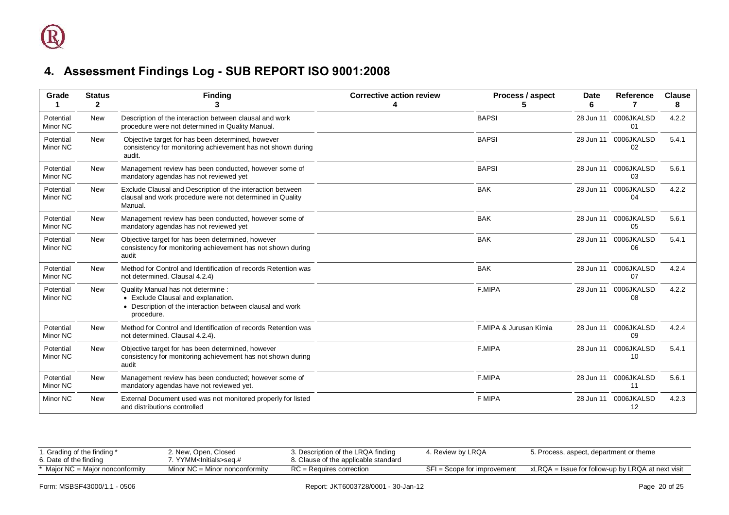| Grade                 | <b>Status</b><br>$\mathbf{2}$ | <b>Finding</b>                                                                                                                                      | <b>Corrective action review</b><br>Δ | Process / aspect<br>5  | <b>Date</b><br>6 | Reference                  | <b>Clause</b><br>8 |
|-----------------------|-------------------------------|-----------------------------------------------------------------------------------------------------------------------------------------------------|--------------------------------------|------------------------|------------------|----------------------------|--------------------|
| Potential<br>Minor NC | <b>New</b>                    | Description of the interaction between clausal and work<br>procedure were not determined in Quality Manual.                                         |                                      | <b>BAPSI</b>           | 28 Jun 11        | 0006JKALSD<br>01           | 4.2.2              |
| Potential<br>Minor NC | <b>New</b>                    | Objective target for has been determined, however<br>consistency for monitoring achievement has not shown during<br>audit.                          |                                      | <b>BAPSI</b>           |                  | 28 Jun 11 0006JKALSD<br>02 | 5.4.1              |
| Potential<br>Minor NC | <b>New</b>                    | Management review has been conducted, however some of<br>mandatory agendas has not reviewed yet                                                     |                                      | <b>BAPSI</b>           | 28 Jun 11        | 0006JKALSD<br>03           | 5.6.1              |
| Potential<br>Minor NC | <b>New</b>                    | Exclude Clausal and Description of the interaction between<br>clausal and work procedure were not determined in Quality<br>Manual.                  |                                      | <b>BAK</b>             |                  | 28 Jun 11 0006JKALSD<br>04 | 4.2.2              |
| Potential<br>Minor NC | <b>New</b>                    | Management review has been conducted, however some of<br>mandatory agendas has not reviewed yet                                                     |                                      | <b>BAK</b>             | 28 Jun 11        | 0006JKALSD<br>05           | 5.6.1              |
| Potential<br>Minor NC | <b>New</b>                    | Objective target for has been determined, however<br>consistency for monitoring achievement has not shown during<br>audit                           |                                      | <b>BAK</b>             | 28 Jun 11        | 0006JKALSD<br>06           | 5.4.1              |
| Potential<br>Minor NC | <b>New</b>                    | Method for Control and Identification of records Retention was<br>not determined. Clausal 4.2.4)                                                    |                                      | <b>BAK</b>             | 28 Jun 11        | 0006JKALSD<br>07           | 4.2.4              |
| Potential<br>Minor NC | <b>New</b>                    | Quality Manual has not determine :<br>• Exclude Clausal and explanation.<br>• Description of the interaction between clausal and work<br>procedure. |                                      | F.MIPA                 | 28 Jun 11        | 0006JKALSD<br>08           | 4.2.2              |
| Potential<br>Minor NC | <b>New</b>                    | Method for Control and Identification of records Retention was<br>not determined. Clausal 4.2.4).                                                   |                                      | F.MIPA & Jurusan Kimia |                  | 28 Jun 11 0006JKALSD<br>09 | 4.2.4              |
| Potential<br>Minor NC | New                           | Objective target for has been determined, however<br>consistency for monitoring achievement has not shown during<br>audit                           |                                      | F.MIPA                 | 28 Jun 11        | 0006JKALSD<br>10           | 5.4.1              |
| Potential<br>Minor NC | <b>New</b>                    | Management review has been conducted; however some of<br>mandatory agendas have not reviewed yet.                                                   |                                      | F.MIPA                 |                  | 28 Jun 11 0006JKALSD<br>11 | 5.6.1              |
| Minor NC              | <b>New</b>                    | External Document used was not monitored properly for listed<br>and distributions controlled                                                        |                                      | <b>F MIPA</b>          | 28 Jun 11        | 0006JKALSD<br>12           | 4.2.3              |

<span id="page-19-0"></span>

| 1. Grading of the finding *<br>6. Date of the finding | 2. New, Open, Closed<br>`YYMM <lnitials>seɑ.#_</lnitials> | 3. Description of the LRQA finding<br>8. Clause of the applicable standard | 4. Review by LRQA             | 5. Process, aspect, department or theme           |
|-------------------------------------------------------|-----------------------------------------------------------|----------------------------------------------------------------------------|-------------------------------|---------------------------------------------------|
| Maior NC = Maior nonconformity                        | Minor $NC =$ Minor nonconformity                          | $RC = Requires correction$                                                 | $SFI = Score for improvement$ | xLRQA = Issue for follow-up by LRQA at next visit |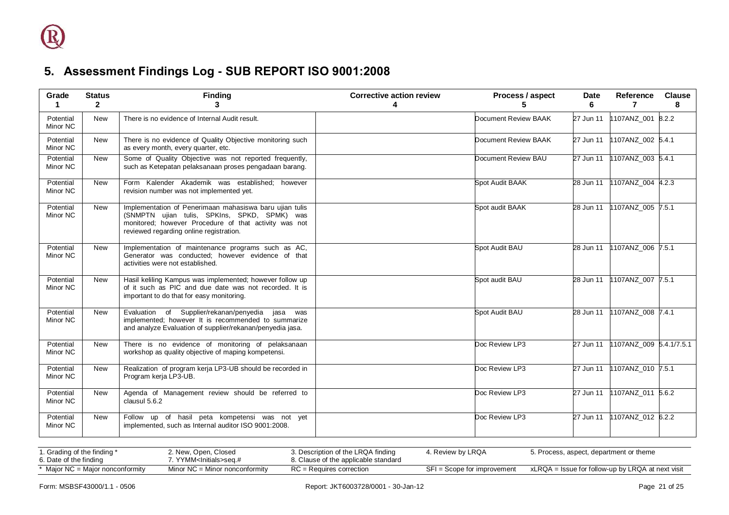| Grade                 | <b>Status</b><br>$\mathbf{2}$ | <b>Finding</b><br>3                                                                                                                                                                                         | <b>Corrective action review</b><br>4 | Process / aspect       | <b>Date</b><br>6 | Reference<br>7          | <b>Clause</b><br>8 |
|-----------------------|-------------------------------|-------------------------------------------------------------------------------------------------------------------------------------------------------------------------------------------------------------|--------------------------------------|------------------------|------------------|-------------------------|--------------------|
| Potential<br>Minor NC | <b>New</b>                    | There is no evidence of Internal Audit result.                                                                                                                                                              |                                      | Document Review BAAK   | 27 Jun 11        | 1107ANZ_001 8.2.2       |                    |
| Potential<br>Minor NC | New                           | There is no evidence of Quality Objective monitoring such<br>as every month, every quarter, etc.                                                                                                            |                                      | Document Review BAAK   | 27 Jun 11        | 1107ANZ_002 5.4.1       |                    |
| Potential<br>Minor NC | <b>New</b>                    | Some of Quality Objective was not reported frequently,<br>such as Ketepatan pelaksanaan proses pengadaan barang.                                                                                            |                                      | Document Review BAU    | $27$ Jun 11      | 1107ANZ_003 5.4.1       |                    |
| Potential<br>Minor NC | New                           | Form Kalender Akademik was established; however<br>revision number was not implemented yet.                                                                                                                 |                                      | <b>Spot Audit BAAK</b> | 28 Jun 11        | 1107ANZ_004 4.2.3       |                    |
| Potential<br>Minor NC | <b>New</b>                    | Implementation of Penerimaan mahasiswa baru ujian tulis<br>(SNMPTN ujian tulis, SPKIns, SPKD, SPMK) was<br>monitored; however Procedure of that activity was not<br>reviewed regarding online registration. |                                      | Spot audit BAAK        | 28 Jun 11        | 1107ANZ 005 7.5.1       |                    |
| Potential<br>Minor NC | <b>New</b>                    | Implementation of maintenance programs such as AC,<br>Generator was conducted; however evidence of that<br>activities were not established.                                                                 |                                      | Spot Audit BAU         | 28 Jun 11        | 1107ANZ_006 7.5.1       |                    |
| Potential<br>Minor NC | New                           | Hasil keliling Kampus was implemented; however follow up<br>of it such as PIC and due date was not recorded. It is<br>important to do that for easy monitoring.                                             |                                      | Spot audit BAU         | 28 Jun 11        | 1107ANZ_007 7.5.1       |                    |
| Potential<br>Minor NC | <b>New</b>                    | Evaluation of Supplier/rekanan/penyedia<br>jasa was<br>implemented; however It is recommended to summarize<br>and analyze Evaluation of supplier/rekanan/penyedia jasa.                                     |                                      | Spot Audit BAU         | 28 Jun 11        | 1107ANZ 008 7.4.1       |                    |
| Potential<br>Minor NC | <b>New</b>                    | There is no evidence of monitoring of pelaksanaan<br>workshop as quality objective of maping kompetensi.                                                                                                    |                                      | Doc Review LP3         | 27 Jun 11        | 1107ANZ_009 5.4.1/7.5.1 |                    |
| Potential<br>Minor NC | <b>New</b>                    | Realization of program kerja LP3-UB should be recorded in<br>Program kerja LP3-UB.                                                                                                                          |                                      | Doc Review LP3         | 27 Jun 11        | 1107ANZ_010 7.5.1       |                    |
| Potential<br>Minor NC | <b>New</b>                    | Agenda of Management review should be referred to<br>clausul 5.6.2                                                                                                                                          |                                      | Doc Review LP3         | 27 Jun 11        | 1107ANZ_011 5.6.2       |                    |
| Potential<br>Minor NC | New                           | Follow up of hasil peta kompetensi was not yet<br>implemented, such as Internal auditor ISO 9001:2008.                                                                                                      |                                      | Doc Review LP3         | 27 Jun 11        | 1107ANZ_012 6.2.2       |                    |

<span id="page-20-0"></span>

| 1. Grading of the finding *        | 2. New, Open, Closed             | 3. Description of the LRQA finding   | 1. Review by LRQA           | 5. Process, aspect, department or theme           |
|------------------------------------|----------------------------------|--------------------------------------|-----------------------------|---------------------------------------------------|
| 6. Date of the finding             | YYMM <lnitials>seq.#</lnitials>  | 8. Clause of the applicable standard |                             |                                                   |
| $*$ Major NC = Major nonconformity | Minor $NC =$ Minor nonconformity | $RC = Requires correction$           | SFI = Scope for improvement | xLRQA = Issue for follow-up by LRQA at next visit |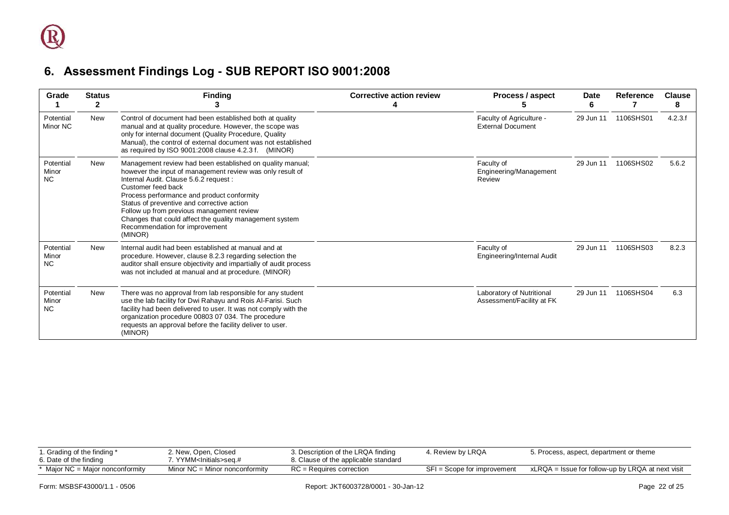| Grade                    | <b>Status</b><br>2 | <b>Finding</b>                                                                                                                                                                                                                                                                                                                                                                                                                          | <b>Corrective action review</b> | Process / aspect                                       | <b>Date</b><br>6. | <b>Reference</b> | <b>Clause</b><br>8 |
|--------------------------|--------------------|-----------------------------------------------------------------------------------------------------------------------------------------------------------------------------------------------------------------------------------------------------------------------------------------------------------------------------------------------------------------------------------------------------------------------------------------|---------------------------------|--------------------------------------------------------|-------------------|------------------|--------------------|
| Potential<br>Minor NC    | New                | Control of document had been established both at quality<br>manual and at quality procedure. However, the scope was<br>only for internal document (Quality Procedure, Quality<br>Manual), the control of external document was not established<br>as required by ISO 9001:2008 clause 4.2.3 f. (MINOR)                                                                                                                                  |                                 | Faculty of Agriculture -<br><b>External Document</b>   | 29 Jun 11         | 1106SHS01        | 4.2.3.f            |
| Potential<br>Minor<br>NC | New                | Management review had been established on quality manual;<br>however the input of management review was only result of<br>Internal Audit. Clause 5.6.2 request :<br>Customer feed back<br>Process performance and product conformity<br>Status of preventive and corrective action<br>Follow up from previous management review<br>Changes that could affect the quality management system<br>Recommendation for improvement<br>(MINOR) |                                 | Faculty of<br>Engineering/Management<br>Review         | 29 Jun 11         | 1106SHS02        | 5.6.2              |
| Potential<br>Minor<br>NC | New                | Internal audit had been established at manual and at<br>procedure. However, clause 8.2.3 regarding selection the<br>auditor shall ensure objectivity and impartially of audit process<br>was not included at manual and at procedure. (MINOR)                                                                                                                                                                                           |                                 | Faculty of<br>Engineering/Internal Audit               | 29 Jun 11         | 1106SHS03        | 8.2.3              |
| Potential<br>Minor<br>NC | <b>New</b>         | There was no approval from lab responsible for any student<br>use the lab facility for Dwi Rahayu and Rois Al-Farisi. Such<br>facility had been delivered to user. It was not comply with the<br>organization procedure 00803 07 034. The procedure<br>requests an approval before the facility deliver to user.<br>(MINOR)                                                                                                             |                                 | Laboratory of Nutritional<br>Assessment/Facility at FK | 29 Jun 11         | 1106SHS04        | 6.3                |

<span id="page-21-0"></span>

| i. Grading of the finding *<br>6. Date of the finding | 2. New, Open, Closed<br>. YYMM <lnitials>seɑ.#_</lnitials> | 3. Description of the LRQA finding<br>8. Clause of the applicable standard | t. Review by LRQA           | 5. Process, aspect, department or theme           |
|-------------------------------------------------------|------------------------------------------------------------|----------------------------------------------------------------------------|-----------------------------|---------------------------------------------------|
| * Major NC = Major nonconformity                      | Minor $NC =$ Minor nonconformity                           | $RC =$ Requires correction                                                 | SFI = Scope for improvement | xLRQA = Issue for follow-up by LRQA at next visit |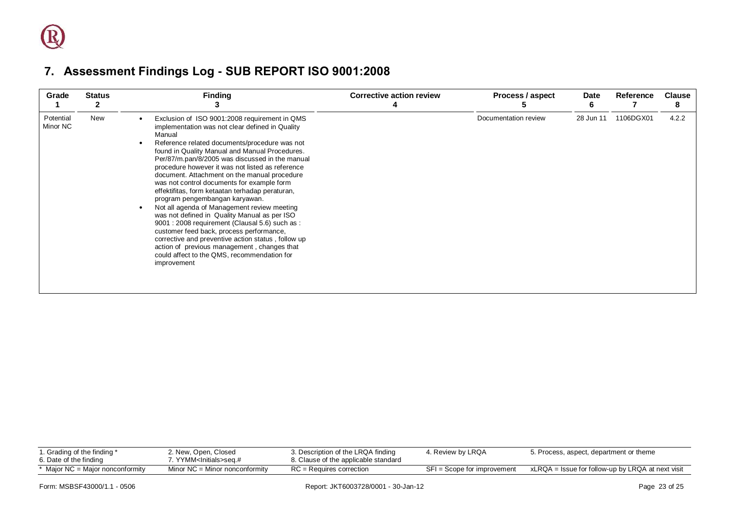| Grade                 | <b>Status</b><br>$\mathbf{2}$ | <b>Finding</b><br>Ĵ                                                                                                                                                                                                                                                                                                                                                                                                                                                                                                                                                                                                                                                                                                                                                                                                                                                      | <b>Corrective action review</b> | Process / aspect     | Date<br>6 | Reference | <b>Clause</b><br>8 |
|-----------------------|-------------------------------|--------------------------------------------------------------------------------------------------------------------------------------------------------------------------------------------------------------------------------------------------------------------------------------------------------------------------------------------------------------------------------------------------------------------------------------------------------------------------------------------------------------------------------------------------------------------------------------------------------------------------------------------------------------------------------------------------------------------------------------------------------------------------------------------------------------------------------------------------------------------------|---------------------------------|----------------------|-----------|-----------|--------------------|
| Potential<br>Minor NC | New                           | Exclusion of ISO 9001:2008 requirement in QMS<br>implementation was not clear defined in Quality<br>Manual<br>Reference related documents/procedure was not<br>found in Quality Manual and Manual Procedures.<br>Per/87/m.pan/8/2005 was discussed in the manual<br>procedure however it was not listed as reference<br>document. Attachment on the manual procedure<br>was not control documents for example form<br>effektifitas, form ketaatan terhadap peraturan,<br>program pengembangan karyawan.<br>Not all agenda of Management review meeting<br>was not defined in Quality Manual as per ISO<br>9001 : 2008 requirement (Clausal 5.6) such as :<br>customer feed back, process performance,<br>corrective and preventive action status, follow up<br>action of previous management, changes that<br>could affect to the QMS, recommendation for<br>improvement |                                 | Documentation review | 28 Jun 11 | 1106DGX01 | 4.2.2              |

<span id="page-22-0"></span>

| 1. Grading of the finding *<br>6. Date of the finding | 2. New, Open, Closed<br>7. YYMM <initials>seq.#_</initials> | 3. Description of the LRQA finding<br>8. Clause of the applicable standard | 4. Review by LRQA           | 5. Process, aspect, department or theme           |
|-------------------------------------------------------|-------------------------------------------------------------|----------------------------------------------------------------------------|-----------------------------|---------------------------------------------------|
| * Major NC = Major nonconformity                      | Minor $NC =$ Minor nonconformity                            | $RC =$ Requires correction                                                 | SFI = Scope for improvement | xLRQA = Issue for follow-up by LRQA at next visit |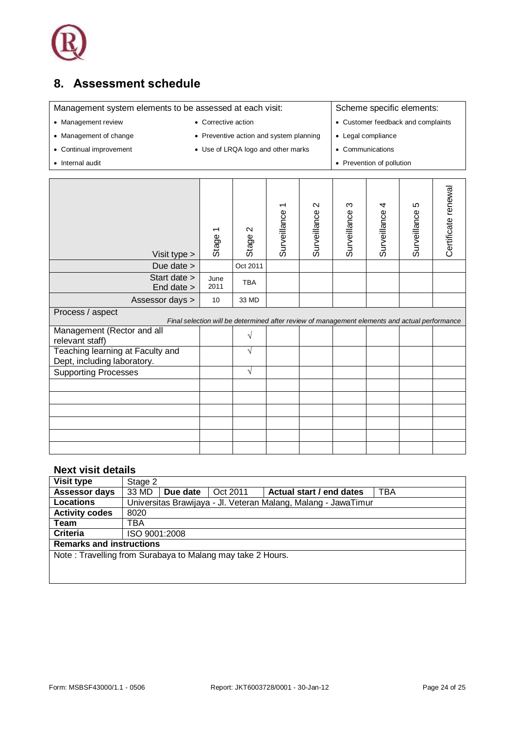

## <span id="page-23-0"></span>**8. Assessment schedule**

Management system elements to be assessed at each visit: Scheme specific elements:

- 
- 
- 
- Management review Corrective action  $\cdot$  Customer feedback and complaints
- Management of change **and system and system planning** Legal compliance
- Continual improvement Use of LRQA logo and other marks Communications
- Internal audit **Prevention of pollution Prevention of pollution •** Prevention of pollution
- Certificate renewal Certificate renewal Surveillance 3 Surveillance 5 Surveillance 2 Surveillance 4 Surveillance 1 Stage 2 Stage 1 Visit type > Due date  $>$  Oct 2011 Start date > June  $\begin{array}{c|c}\n\text{June} \\
\text{2011}\n\end{array}$  TBA End date > Assessor days  $> 10$  33 MD Process / aspect *Final selection will be determined after review of management elements and actual performance* Management (Rector and all  $r$ elevant staff)  $\sqrt{r}$ Teaching learning at Faculty and √ Dept, including laboratory. Supporting Processes │ │ │ √

### **Next visit details**

| <b>Visit type</b>     | Stage 2                                                    |          |          |                                                                |     |  |
|-----------------------|------------------------------------------------------------|----------|----------|----------------------------------------------------------------|-----|--|
| <b>Assessor days</b>  | 33 MD                                                      | Due date | Oct 2011 | Actual start / end dates                                       | TBA |  |
| <b>Locations</b>      |                                                            |          |          | Universitas Brawijaya - Jl. Veteran Malang, Malang - JawaTimur |     |  |
| <b>Activity codes</b> | 8020                                                       |          |          |                                                                |     |  |
| Team                  | TBA                                                        |          |          |                                                                |     |  |
| Criteria              | ISO 9001:2008                                              |          |          |                                                                |     |  |
|                       | <b>Remarks and instructions</b>                            |          |          |                                                                |     |  |
|                       | Note: Travelling from Surabaya to Malang may take 2 Hours. |          |          |                                                                |     |  |
|                       |                                                            |          |          |                                                                |     |  |